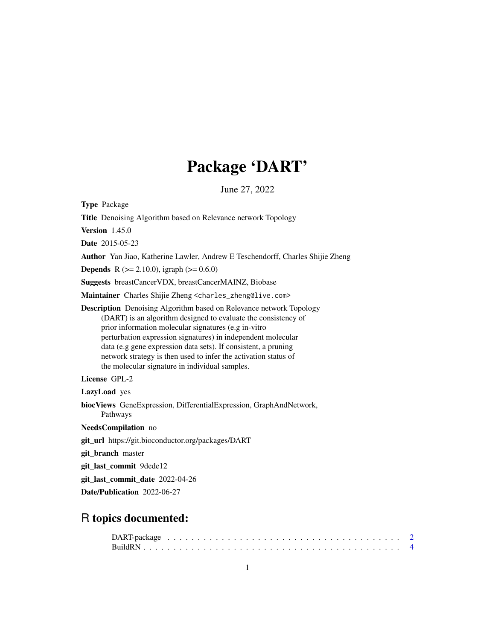# Package 'DART'

June 27, 2022

| <b>Type Package</b>                                                                                                                                                                                                                                                                                                                                                                                                                                         |
|-------------------------------------------------------------------------------------------------------------------------------------------------------------------------------------------------------------------------------------------------------------------------------------------------------------------------------------------------------------------------------------------------------------------------------------------------------------|
| <b>Title</b> Denoising Algorithm based on Relevance network Topology                                                                                                                                                                                                                                                                                                                                                                                        |
| <b>Version</b> 1.45.0                                                                                                                                                                                                                                                                                                                                                                                                                                       |
| Date 2015-05-23                                                                                                                                                                                                                                                                                                                                                                                                                                             |
| Author Yan Jiao, Katherine Lawler, Andrew E Teschendorff, Charles Shijie Zheng                                                                                                                                                                                                                                                                                                                                                                              |
| <b>Depends</b> R ( $>= 2.10.0$ ), igraph ( $>= 0.6.0$ )                                                                                                                                                                                                                                                                                                                                                                                                     |
| <b>Suggests</b> breastCancerVDX, breastCancerMAINZ, Biobase                                                                                                                                                                                                                                                                                                                                                                                                 |
| Maintainer Charles Shijie Zheng <charles_zheng@live.com></charles_zheng@live.com>                                                                                                                                                                                                                                                                                                                                                                           |
| <b>Description</b> Denoising Algorithm based on Relevance network Topology<br>(DART) is an algorithm designed to evaluate the consistency of<br>prior information molecular signatures (e.g in-vitro<br>perturbation expression signatures) in independent molecular<br>data (e.g gene expression data sets). If consistent, a pruning<br>network strategy is then used to infer the activation status of<br>the molecular signature in individual samples. |
| License GPL-2                                                                                                                                                                                                                                                                                                                                                                                                                                               |
| LazyLoad yes                                                                                                                                                                                                                                                                                                                                                                                                                                                |
| biocViews GeneExpression, DifferentialExpression, GraphAndNetwork,<br>Pathways                                                                                                                                                                                                                                                                                                                                                                              |
| NeedsCompilation no                                                                                                                                                                                                                                                                                                                                                                                                                                         |
| git_url https://git.bioconductor.org/packages/DART                                                                                                                                                                                                                                                                                                                                                                                                          |
| git_branch master                                                                                                                                                                                                                                                                                                                                                                                                                                           |
| git_last_commit 9dede12                                                                                                                                                                                                                                                                                                                                                                                                                                     |
| git_last_commit_date 2022-04-26                                                                                                                                                                                                                                                                                                                                                                                                                             |
| Date/Publication 2022-06-27                                                                                                                                                                                                                                                                                                                                                                                                                                 |
|                                                                                                                                                                                                                                                                                                                                                                                                                                                             |

### R topics documented: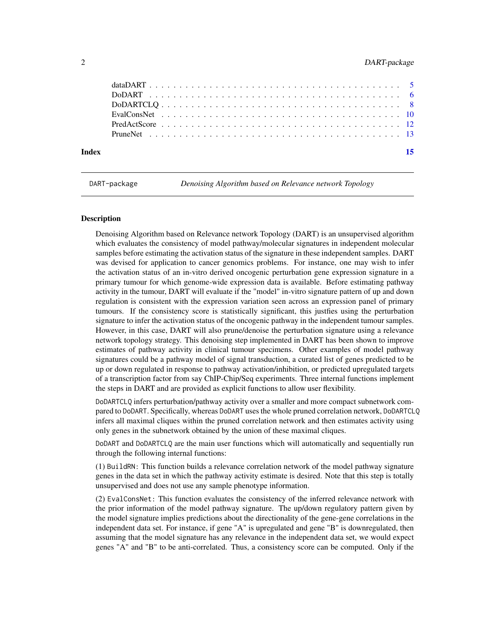<span id="page-1-0"></span>

DART-package *Denoising Algorithm based on Relevance network Topology*

#### **Description**

Denoising Algorithm based on Relevance network Topology (DART) is an unsupervised algorithm which evaluates the consistency of model pathway/molecular signatures in independent molecular samples before estimating the activation status of the signature in these independent samples. DART was devised for application to cancer genomics problems. For instance, one may wish to infer the activation status of an in-vitro derived oncogenic perturbation gene expression signature in a primary tumour for which genome-wide expression data is available. Before estimating pathway activity in the tumour, DART will evaluate if the "model" in-vitro signature pattern of up and down regulation is consistent with the expression variation seen across an expression panel of primary tumours. If the consistency score is statistically significant, this justfies using the perturbation signature to infer the activation status of the oncogenic pathway in the independent tumour samples. However, in this case, DART will also prune/denoise the perturbation signature using a relevance network topology strategy. This denoising step implemented in DART has been shown to improve estimates of pathway activity in clinical tumour specimens. Other examples of model pathway signatures could be a pathway model of signal transduction, a curated list of genes predicted to be up or down regulated in response to pathway activation/inhibition, or predicted upregulated targets of a transcription factor from say ChIP-Chip/Seq experiments. Three internal functions implement the steps in DART and are provided as explicit functions to allow user flexibility.

DoDARTCLQ infers perturbation/pathway activity over a smaller and more compact subnetwork compared to DoDART. Specifically, whereas DoDART uses the whole pruned correlation network, DoDARTCLQ infers all maximal cliques within the pruned correlation network and then estimates activity using only genes in the subnetwork obtained by the union of these maximal cliques.

DoDART and DoDARTCLQ are the main user functions which will automatically and sequentially run through the following internal functions:

(1) BuildRN: This function builds a relevance correlation network of the model pathway signature genes in the data set in which the pathway activity estimate is desired. Note that this step is totally unsupervised and does not use any sample phenotype information.

(2) EvalConsNet: This function evaluates the consistency of the inferred relevance network with the prior information of the model pathway signature. The up/down regulatory pattern given by the model signature implies predictions about the directionality of the gene-gene correlations in the independent data set. For instance, if gene "A" is upregulated and gene "B" is downregulated, then assuming that the model signature has any relevance in the independent data set, we would expect genes "A" and "B" to be anti-correlated. Thus, a consistency score can be computed. Only if the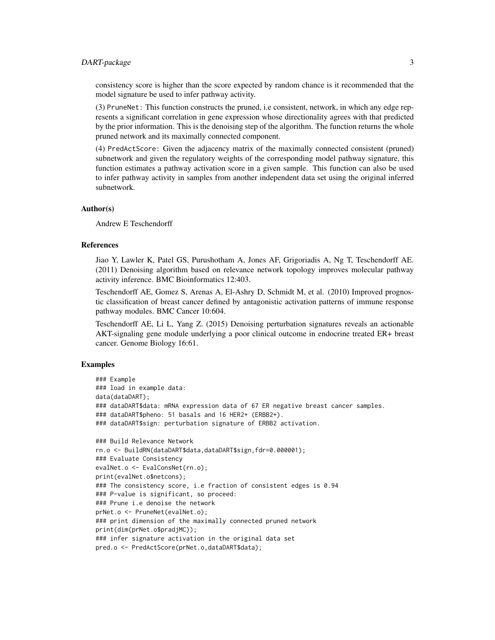#### DART-package 3

consistency score is higher than the score expected by random chance is it recommended that the model signature be used to infer pathway activity.

(3) PruneNet: This function constructs the pruned, i.e consistent, network, in which any edge represents a significant correlation in gene expression whose directionality agrees with that predicted by the prior information. This is the denoising step of the algorithm. The function returns the whole pruned network and its maximally connected component.

(4) PredActScore: Given the adjacency matrix of the maximally connected consistent (pruned) subnetwork and given the regulatory weights of the corresponding model pathway signature, this function estimates a pathway activation score in a given sample. This function can also be used to infer pathway activity in samples from another independent data set using the original inferred subnetwork.

#### Author(s)

Andrew E Teschendorff

#### References

Jiao Y, Lawler K, Patel GS, Purushotham A, Jones AF, Grigoriadis A, Ng T, Teschendorff AE. (2011) Denoising algorithm based on relevance network topology improves molecular pathway activity inference. BMC Bioinformatics 12:403.

Teschendorff AE, Gomez S, Arenas A, El-Ashry D, Schmidt M, et al. (2010) Improved prognostic classification of breast cancer defined by antagonistic activation patterns of immune response pathway modules. BMC Cancer 10:604.

Teschendorff AE, Li L, Yang Z. (2015) Denoising perturbation signatures reveals an actionable AKT-signaling gene module underlying a poor clinical outcome in endocrine treated ER+ breast cancer. Genome Biology 16:61.

#### Examples

```
### Example
### load in example data:
data(dataDART);
### dataDART$data: mRNA expression data of 67 ER negative breast cancer samples.
### dataDART$pheno: 51 basals and 16 HER2+ (ERBB2+).
### dataDART$sign: perturbation signature of ERBB2 activation.
### Build Relevance Network
rn.o <- BuildRN(dataDART$data,dataDART$sign,fdr=0.000001);
### Evaluate Consistency
evalNet.o <- EvalConsNet(rn.o);
print(evalNet.o$netcons);
### The consistency score, i.e fraction of consistent edges is 0.94
### P-value is significant, so proceed:
### Prune i.e denoise the network
prNet.o <- PruneNet(evalNet.o);
### print dimension of the maximally connected pruned network
print(dim(prNet.o$pradjMC));
### infer signature activation in the original data set
pred.o <- PredActScore(prNet.o,dataDART$data);
```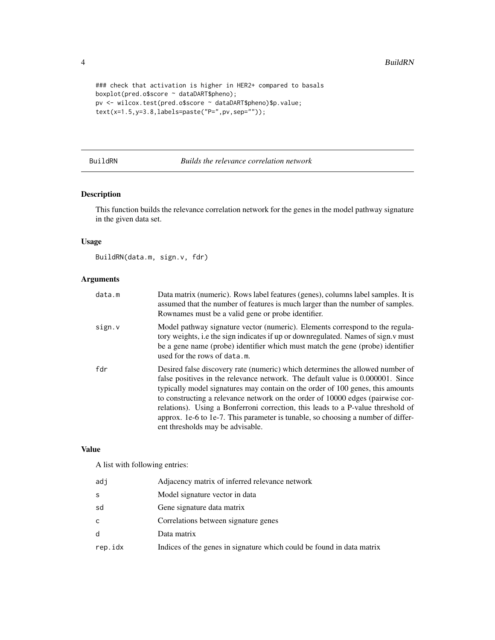```
### check that activation is higher in HER2+ compared to basals
boxplot(pred.o$score ~ dataDART$pheno);
pv <- wilcox.test(pred.o$score ~ dataDART$pheno)$p.value;
text(x=1.5,y=3.8,labels=paste("P=",pv,sep=""));
```
BuildRN *Builds the relevance correlation network*

#### Description

This function builds the relevance correlation network for the genes in the model pathway signature in the given data set.

#### Usage

BuildRN(data.m, sign.v, fdr)

#### Arguments

| data.m | Data matrix (numeric). Rows label features (genes), columns label samples. It is<br>assumed that the number of features is much larger than the number of samples.<br>Rownames must be a valid gene or probe identifier.                                                                                                                                                                                                                                                                                                                       |
|--------|------------------------------------------------------------------------------------------------------------------------------------------------------------------------------------------------------------------------------------------------------------------------------------------------------------------------------------------------------------------------------------------------------------------------------------------------------------------------------------------------------------------------------------------------|
| sign.v | Model pathway signature vector (numeric). Elements correspond to the regula-<br>tory weights, i.e the sign indicates if up or downregulated. Names of sign.y must<br>be a gene name (probe) identifier which must match the gene (probe) identifier<br>used for the rows of data.m.                                                                                                                                                                                                                                                            |
| fdr    | Desired false discovery rate (numeric) which determines the allowed number of<br>false positives in the relevance network. The default value is 0.000001. Since<br>typically model signatures may contain on the order of 100 genes, this amounts<br>to constructing a relevance network on the order of 10000 edges (pairwise cor-<br>relations). Using a Bonferroni correction, this leads to a P-value threshold of<br>approx. 1e-6 to 1e-7. This parameter is tunable, so choosing a number of differ-<br>ent thresholds may be advisable. |

#### Value

A list with following entries:

| adj     | Adjacency matrix of inferred relevance network                        |
|---------|-----------------------------------------------------------------------|
| S       | Model signature vector in data                                        |
| sd      | Gene signature data matrix                                            |
| c.      | Correlations between signature genes                                  |
| d       | Data matrix                                                           |
| rep.idx | Indices of the genes in signature which could be found in data matrix |

<span id="page-3-0"></span>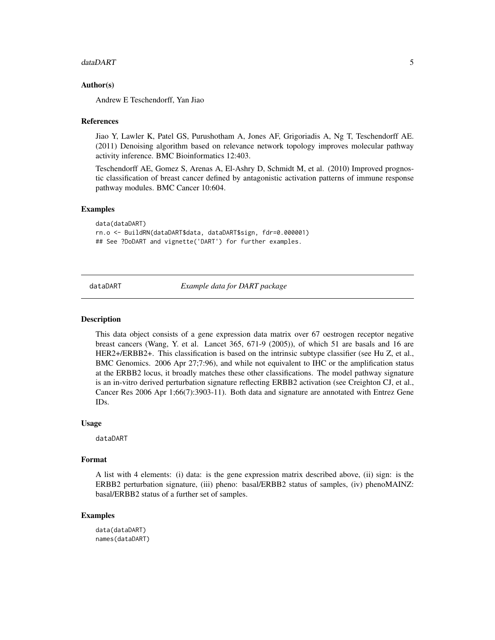#### <span id="page-4-0"></span>dataDART 5

#### Author(s)

Andrew E Teschendorff, Yan Jiao

#### References

Jiao Y, Lawler K, Patel GS, Purushotham A, Jones AF, Grigoriadis A, Ng T, Teschendorff AE. (2011) Denoising algorithm based on relevance network topology improves molecular pathway activity inference. BMC Bioinformatics 12:403.

Teschendorff AE, Gomez S, Arenas A, El-Ashry D, Schmidt M, et al. (2010) Improved prognostic classification of breast cancer defined by antagonistic activation patterns of immune response pathway modules. BMC Cancer 10:604.

#### Examples

```
data(dataDART)
rn.o <- BuildRN(dataDART$data, dataDART$sign, fdr=0.000001)
## See ?DoDART and vignette('DART') for further examples.
```
dataDART *Example data for DART package*

#### Description

This data object consists of a gene expression data matrix over 67 oestrogen receptor negative breast cancers (Wang, Y. et al. Lancet 365, 671-9 (2005)), of which 51 are basals and 16 are HER2+/ERBB2+. This classification is based on the intrinsic subtype classifier (see Hu Z, et al., BMC Genomics. 2006 Apr 27;7:96), and while not equivalent to IHC or the amplification status at the ERBB2 locus, it broadly matches these other classifications. The model pathway signature is an in-vitro derived perturbation signature reflecting ERBB2 activation (see Creighton CJ, et al., Cancer Res 2006 Apr 1;66(7):3903-11). Both data and signature are annotated with Entrez Gene IDs.

#### Usage

dataDART

#### Format

A list with 4 elements: (i) data: is the gene expression matrix described above, (ii) sign: is the ERBB2 perturbation signature, (iii) pheno: basal/ERBB2 status of samples, (iv) phenoMAINZ: basal/ERBB2 status of a further set of samples.

#### Examples

data(dataDART) names(dataDART)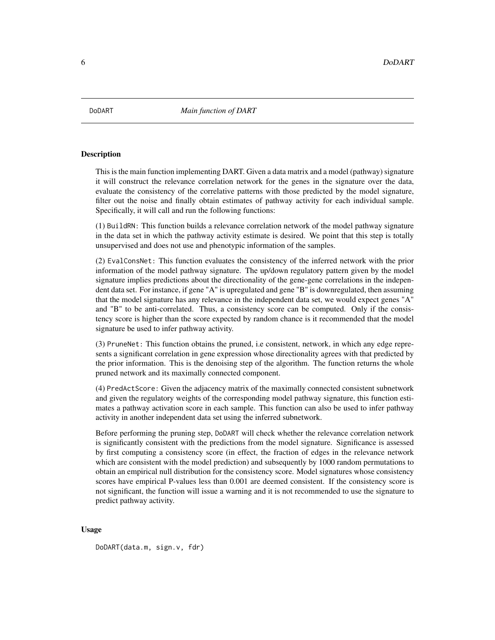<span id="page-5-0"></span>

#### **Description**

This is the main function implementing DART. Given a data matrix and a model (pathway) signature it will construct the relevance correlation network for the genes in the signature over the data, evaluate the consistency of the correlative patterns with those predicted by the model signature, filter out the noise and finally obtain estimates of pathway activity for each individual sample. Specifically, it will call and run the following functions:

(1) BuildRN: This function builds a relevance correlation network of the model pathway signature in the data set in which the pathway activity estimate is desired. We point that this step is totally unsupervised and does not use and phenotypic information of the samples.

(2) EvalConsNet: This function evaluates the consistency of the inferred network with the prior information of the model pathway signature. The up/down regulatory pattern given by the model signature implies predictions about the directionality of the gene-gene correlations in the independent data set. For instance, if gene "A" is upregulated and gene "B" is downregulated, then assuming that the model signature has any relevance in the independent data set, we would expect genes "A" and "B" to be anti-correlated. Thus, a consistency score can be computed. Only if the consistency score is higher than the score expected by random chance is it recommended that the model signature be used to infer pathway activity.

(3) PruneNet: This function obtains the pruned, i.e consistent, network, in which any edge represents a significant correlation in gene expression whose directionality agrees with that predicted by the prior information. This is the denoising step of the algorithm. The function returns the whole pruned network and its maximally connected component.

(4) PredActScore: Given the adjacency matrix of the maximally connected consistent subnetwork and given the regulatory weights of the corresponding model pathway signature, this function estimates a pathway activation score in each sample. This function can also be used to infer pathway activity in another independent data set using the inferred subnetwork.

Before performing the pruning step, DoDART will check whether the relevance correlation network is significantly consistent with the predictions from the model signature. Significance is assessed by first computing a consistency score (in effect, the fraction of edges in the relevance network which are consistent with the model prediction) and subsequently by 1000 random permutations to obtain an empirical null distribution for the consistency score. Model signatures whose consistency scores have empirical P-values less than 0.001 are deemed consistent. If the consistency score is not significant, the function will issue a warning and it is not recommended to use the signature to predict pathway activity.

#### Usage

DoDART(data.m, sign.v, fdr)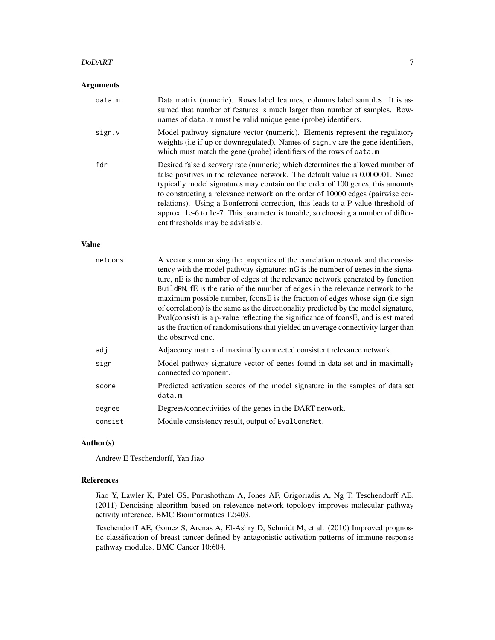#### DoDART 7

#### Arguments

| data.m       | Data matrix (numeric). Rows label features, columns label samples. It is as-<br>sumed that number of features is much larger than number of samples. Row-<br>names of data.m must be valid unique gene (probe) identifiers.                                                                                                                                                                                                                                                                                                                    |
|--------------|------------------------------------------------------------------------------------------------------------------------------------------------------------------------------------------------------------------------------------------------------------------------------------------------------------------------------------------------------------------------------------------------------------------------------------------------------------------------------------------------------------------------------------------------|
| sign.v       | Model pathway signature vector (numeric). Elements represent the regulatory<br>weights (i.e if up or downregulated). Names of sign. v are the gene identifiers,<br>which must match the gene (probe) identifiers of the rows of data.m                                                                                                                                                                                                                                                                                                         |
| fdr          | Desired false discovery rate (numeric) which determines the allowed number of<br>false positives in the relevance network. The default value is 0.000001. Since<br>typically model signatures may contain on the order of 100 genes, this amounts<br>to constructing a relevance network on the order of 10000 edges (pairwise cor-<br>relations). Using a Bonferroni correction, this leads to a P-value threshold of<br>approx. 1e-6 to 1e-7. This parameter is tunable, so choosing a number of differ-<br>ent thresholds may be advisable. |
| <b>Value</b> |                                                                                                                                                                                                                                                                                                                                                                                                                                                                                                                                                |
|              | $\Lambda$ . The contract of the second contract of $\Lambda$ is a contract of the contract of $\Lambda$ is a contract of                                                                                                                                                                                                                                                                                                                                                                                                                       |

| netcons | A vector summarising the properties of the correlation network and the consis-<br>tency with the model pathway signature: nG is the number of genes in the signa-<br>ture, nE is the number of edges of the relevance network generated by function<br>BuildRN, fE is the ratio of the number of edges in the relevance network to the<br>maximum possible number, fconsE is the fraction of edges whose sign (i.e sign<br>of correlation) is the same as the directionality predicted by the model signature,<br>Pval(consist) is a p-value reflecting the significance of fconsE, and is estimated<br>as the fraction of randomisations that yielded an average connectivity larger than<br>the observed one. |
|---------|-----------------------------------------------------------------------------------------------------------------------------------------------------------------------------------------------------------------------------------------------------------------------------------------------------------------------------------------------------------------------------------------------------------------------------------------------------------------------------------------------------------------------------------------------------------------------------------------------------------------------------------------------------------------------------------------------------------------|
| adj     | Adjacency matrix of maximally connected consistent relevance network.                                                                                                                                                                                                                                                                                                                                                                                                                                                                                                                                                                                                                                           |
| sign    | Model pathway signature vector of genes found in data set and in maximally<br>connected component.                                                                                                                                                                                                                                                                                                                                                                                                                                                                                                                                                                                                              |
| score   | Predicted activation scores of the model signature in the samples of data set<br>data.m.                                                                                                                                                                                                                                                                                                                                                                                                                                                                                                                                                                                                                        |
| degree  | Degrees/connectivities of the genes in the DART network.                                                                                                                                                                                                                                                                                                                                                                                                                                                                                                                                                                                                                                                        |
| consist | Module consistency result, output of EvalConsNet.                                                                                                                                                                                                                                                                                                                                                                                                                                                                                                                                                                                                                                                               |

#### Author(s)

Andrew E Teschendorff, Yan Jiao

#### References

Jiao Y, Lawler K, Patel GS, Purushotham A, Jones AF, Grigoriadis A, Ng T, Teschendorff AE. (2011) Denoising algorithm based on relevance network topology improves molecular pathway activity inference. BMC Bioinformatics 12:403.

Teschendorff AE, Gomez S, Arenas A, El-Ashry D, Schmidt M, et al. (2010) Improved prognostic classification of breast cancer defined by antagonistic activation patterns of immune response pathway modules. BMC Cancer 10:604.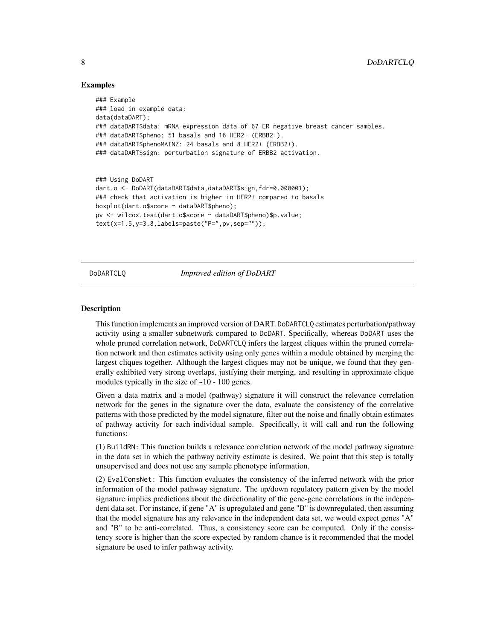#### Examples

```
### Example
### load in example data:
data(dataDART);
### dataDART$data: mRNA expression data of 67 ER negative breast cancer samples.
### dataDART$pheno: 51 basals and 16 HER2+ (ERBB2+).
### dataDART$phenoMAINZ: 24 basals and 8 HER2+ (ERBB2+).
### dataDART$sign: perturbation signature of ERBB2 activation.
### Using DoDART
dart.o <- DoDART(dataDART$data,dataDART$sign,fdr=0.000001);
### check that activation is higher in HER2+ compared to basals
boxplot(dart.o$score ~ dataDART$pheno);
pv <- wilcox.test(dart.o$score ~ dataDART$pheno)$p.value;
text(x=1.5,y=3.8,labels=paste("P=",pv,sep=""));
```
DoDARTCLQ *Improved edition of DoDART*

#### Description

This function implements an improved version of DART. DoDARTCLQ estimates perturbation/pathway activity using a smaller subnetwork compared to DoDART. Specifically, whereas DoDART uses the whole pruned correlation network, DoDARTCLQ infers the largest cliques within the pruned correlation network and then estimates activity using only genes within a module obtained by merging the largest cliques together. Although the largest cliques may not be unique, we found that they generally exhibited very strong overlaps, justfying their merging, and resulting in approximate clique modules typically in the size of  $~10$  - 100 genes.

Given a data matrix and a model (pathway) signature it will construct the relevance correlation network for the genes in the signature over the data, evaluate the consistency of the correlative patterns with those predicted by the model signature, filter out the noise and finally obtain estimates of pathway activity for each individual sample. Specifically, it will call and run the following functions:

(1) BuildRN: This function builds a relevance correlation network of the model pathway signature in the data set in which the pathway activity estimate is desired. We point that this step is totally unsupervised and does not use any sample phenotype information.

(2) EvalConsNet: This function evaluates the consistency of the inferred network with the prior information of the model pathway signature. The up/down regulatory pattern given by the model signature implies predictions about the directionality of the gene-gene correlations in the independent data set. For instance, if gene "A" is upregulated and gene "B" is downregulated, then assuming that the model signature has any relevance in the independent data set, we would expect genes "A" and "B" to be anti-correlated. Thus, a consistency score can be computed. Only if the consistency score is higher than the score expected by random chance is it recommended that the model signature be used to infer pathway activity.

<span id="page-7-0"></span>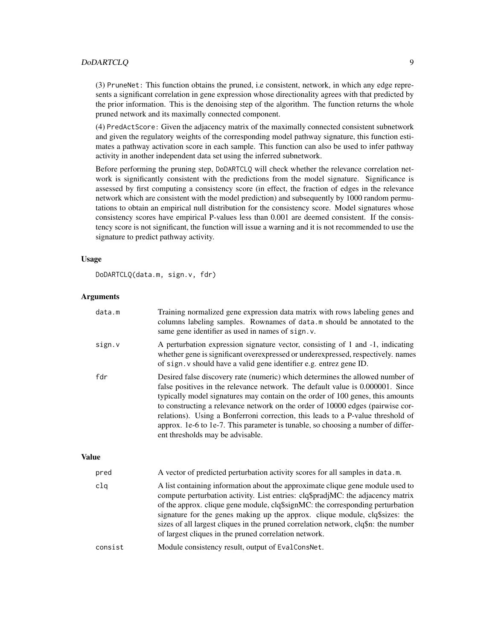#### DoDARTCLO 9

(3) PruneNet: This function obtains the pruned, i.e consistent, network, in which any edge represents a significant correlation in gene expression whose directionality agrees with that predicted by the prior information. This is the denoising step of the algorithm. The function returns the whole pruned network and its maximally connected component.

(4) PredActScore: Given the adjacency matrix of the maximally connected consistent subnetwork and given the regulatory weights of the corresponding model pathway signature, this function estimates a pathway activation score in each sample. This function can also be used to infer pathway activity in another independent data set using the inferred subnetwork.

Before performing the pruning step, DoDARTCLQ will check whether the relevance correlation network is significantly consistent with the predictions from the model signature. Significance is assessed by first computing a consistency score (in effect, the fraction of edges in the relevance network which are consistent with the model prediction) and subsequently by 1000 random permutations to obtain an empirical null distribution for the consistency score. Model signatures whose consistency scores have empirical P-values less than 0.001 are deemed consistent. If the consistency score is not significant, the function will issue a warning and it is not recommended to use the signature to predict pathway activity.

#### Usage

DoDARTCLQ(data.m, sign.v, fdr)

#### Arguments

| data.m       | Training normalized gene expression data matrix with rows labeling genes and<br>columns labeling samples. Rownames of data.m should be annotated to the<br>same gene identifier as used in names of sign. v.                                                                                                                                                                                                                                                                                                                                   |
|--------------|------------------------------------------------------------------------------------------------------------------------------------------------------------------------------------------------------------------------------------------------------------------------------------------------------------------------------------------------------------------------------------------------------------------------------------------------------------------------------------------------------------------------------------------------|
| sign.v       | A perturbation expression signature vector, consisting of 1 and -1, indicating<br>whether gene is significant overexpressed or underexpressed, respectively. names<br>of sign. v should have a valid gene identifier e.g. entrez gene ID.                                                                                                                                                                                                                                                                                                      |
| fdr          | Desired false discovery rate (numeric) which determines the allowed number of<br>false positives in the relevance network. The default value is 0.000001. Since<br>typically model signatures may contain on the order of 100 genes, this amounts<br>to constructing a relevance network on the order of 10000 edges (pairwise cor-<br>relations). Using a Bonferroni correction, this leads to a P-value threshold of<br>approx. 1e-6 to 1e-7. This parameter is tunable, so choosing a number of differ-<br>ent thresholds may be advisable. |
| <b>Value</b> |                                                                                                                                                                                                                                                                                                                                                                                                                                                                                                                                                |
| pred         | A vector of predicted perturbation activity scores for all samples in data.m.                                                                                                                                                                                                                                                                                                                                                                                                                                                                  |
| clq          | A list containing information about the approximate clique gene module used to<br>$\mathcal{L} = \mathcal{L} = \mathcal{L} = \mathcal{L} = \mathcal{L} = \mathcal{L} = \mathcal{L} = \mathcal{L} = \mathcal{L} = \mathcal{L} = \mathcal{L} = \mathcal{L} = \mathcal{L} = \mathcal{L} = \mathcal{L} = \mathcal{L} = \mathcal{L} = \mathcal{L} = \mathcal{L} = \mathcal{L} = \mathcal{L} = \mathcal{L} = \mathcal{L} = \mathcal{L} = \mathcal{L} = \mathcal{L} = \mathcal{L} = \mathcal{L} = \mathcal{L} = \mathcal{L} = \mathcal{L} = \mathcal$ |

compute perturbation activity. List entries: clq\$pradjMC: the adjacency matrix of the approx. clique gene module, clq\$signMC: the corresponding perturbation signature for the genes making up the approx. clique module, clq\$sizes: the sizes of all largest cliques in the pruned correlation network, clq\$n: the number of largest cliques in the pruned correlation network.

#### consist Module consistency result, output of EvalConsNet.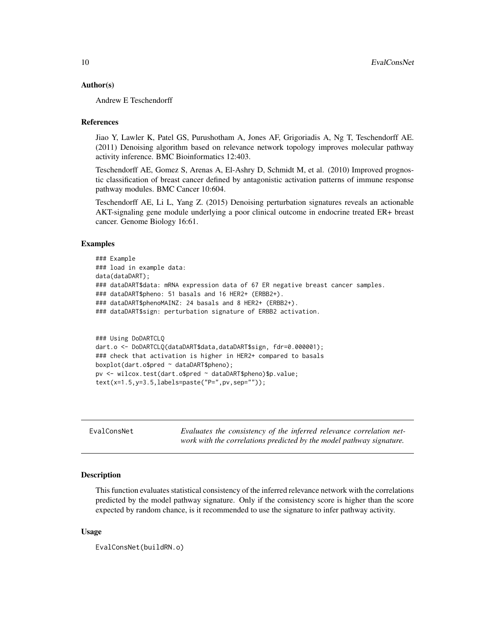#### <span id="page-9-0"></span>Author(s)

Andrew E Teschendorff

#### References

Jiao Y, Lawler K, Patel GS, Purushotham A, Jones AF, Grigoriadis A, Ng T, Teschendorff AE. (2011) Denoising algorithm based on relevance network topology improves molecular pathway activity inference. BMC Bioinformatics 12:403.

Teschendorff AE, Gomez S, Arenas A, El-Ashry D, Schmidt M, et al. (2010) Improved prognostic classification of breast cancer defined by antagonistic activation patterns of immune response pathway modules. BMC Cancer 10:604.

Teschendorff AE, Li L, Yang Z. (2015) Denoising perturbation signatures reveals an actionable AKT-signaling gene module underlying a poor clinical outcome in endocrine treated ER+ breast cancer. Genome Biology 16:61.

#### Examples

```
### Example
### load in example data:
data(dataDART);
### dataDART$data: mRNA expression data of 67 ER negative breast cancer samples.
### dataDART$pheno: 51 basals and 16 HER2+ (ERBB2+).
### dataDART$phenoMAINZ: 24 basals and 8 HER2+ (ERBB2+).
### dataDART$sign: perturbation signature of ERBB2 activation.
```

```
### Using DoDARTCLQ
dart.o <- DoDARTCLQ(dataDART$data,dataDART$sign, fdr=0.000001);
### check that activation is higher in HER2+ compared to basals
boxplot(dart.o$pred ~ dataDART$pheno);
pv <- wilcox.test(dart.o$pred ~ dataDART$pheno)$p.value;
text(x=1.5,y=3.5,labels=paste("P=",pv,sep=""));
```

| EvalConsNet |  |  |  | Evaluates the consistency of the inferred relevance correlation net- |  |
|-------------|--|--|--|----------------------------------------------------------------------|--|
|             |  |  |  | work with the correlations predicted by the model pathway signature. |  |

#### Description

This function evaluates statistical consistency of the inferred relevance network with the correlations predicted by the model pathway signature. Only if the consistency score is higher than the score expected by random chance, is it recommended to use the signature to infer pathway activity.

#### Usage

EvalConsNet(buildRN.o)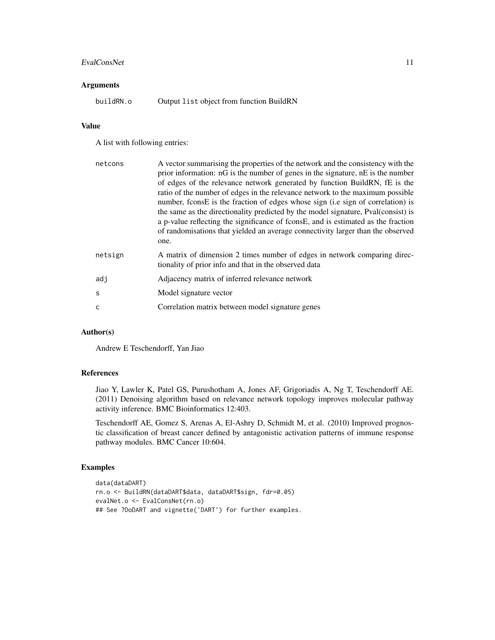#### EvalConsNet 11

#### Arguments

buildRN.o Output list object from function BuildRN

#### Value

A list with following entries:

| netcons | A vector summarising the properties of the network and the consistency with the<br>prior information: $nG$ is the number of genes in the signature, $nE$ is the number<br>of edges of the relevance network generated by function BuildRN, fE is the<br>ratio of the number of edges in the relevance network to the maximum possible<br>number, fconsE is the fraction of edges whose sign (i.e sign of correlation) is<br>the same as the directionality predicted by the model signature, Pval(consist) is<br>a p-value reflecting the significance of fconsE, and is estimated as the fraction<br>of randomisations that yielded an average connectivity larger than the observed<br>one. |
|---------|-----------------------------------------------------------------------------------------------------------------------------------------------------------------------------------------------------------------------------------------------------------------------------------------------------------------------------------------------------------------------------------------------------------------------------------------------------------------------------------------------------------------------------------------------------------------------------------------------------------------------------------------------------------------------------------------------|
| netsign | A matrix of dimension 2 times number of edges in network comparing direc-<br>tionality of prior info and that in the observed data                                                                                                                                                                                                                                                                                                                                                                                                                                                                                                                                                            |
| adj     | Adjacency matrix of inferred relevance network                                                                                                                                                                                                                                                                                                                                                                                                                                                                                                                                                                                                                                                |
| S       | Model signature vector                                                                                                                                                                                                                                                                                                                                                                                                                                                                                                                                                                                                                                                                        |
| C       | Correlation matrix between model signature genes                                                                                                                                                                                                                                                                                                                                                                                                                                                                                                                                                                                                                                              |

#### Author(s)

Andrew E Teschendorff, Yan Jiao

#### References

Jiao Y, Lawler K, Patel GS, Purushotham A, Jones AF, Grigoriadis A, Ng T, Teschendorff AE. (2011) Denoising algorithm based on relevance network topology improves molecular pathway activity inference. BMC Bioinformatics 12:403.

Teschendorff AE, Gomez S, Arenas A, El-Ashry D, Schmidt M, et al. (2010) Improved prognostic classification of breast cancer defined by antagonistic activation patterns of immune response pathway modules. BMC Cancer 10:604.

#### Examples

```
data(dataDART)
rn.o <- BuildRN(dataDART$data, dataDART$sign, fdr=0.05)
evalNet.o <- EvalConsNet(rn.o)
## See ?DoDART and vignette('DART') for further examples.
```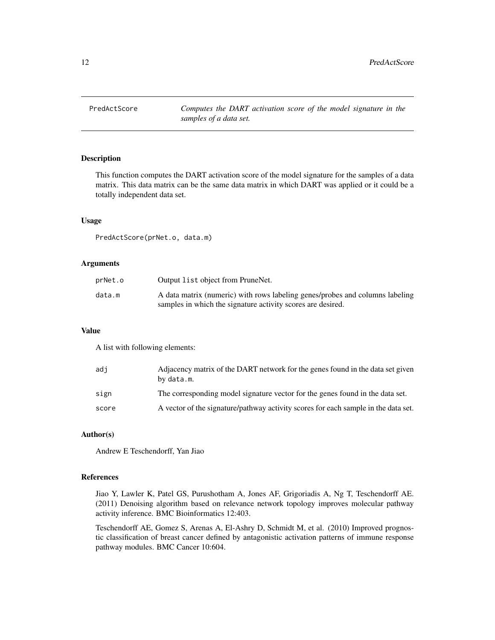<span id="page-11-0"></span>PredActScore *Computes the DART activation score of the model signature in the samples of a data set.*

#### Description

This function computes the DART activation score of the model signature for the samples of a data matrix. This data matrix can be the same data matrix in which DART was applied or it could be a totally independent data set.

#### Usage

PredActScore(prNet.o, data.m)

#### Arguments

| prNet.o | Output list object from PruneNet.                                                                                                           |
|---------|---------------------------------------------------------------------------------------------------------------------------------------------|
| data.m  | A data matrix (numeric) with rows labeling genes/probes and columns labeling<br>samples in which the signature activity scores are desired. |

#### Value

A list with following elements:

| adi   | Adjacency matrix of the DART network for the genes found in the data set given<br>by data.m. |
|-------|----------------------------------------------------------------------------------------------|
| sign  | The corresponding model signature vector for the genes found in the data set.                |
| score | A vector of the signature/pathway activity scores for each sample in the data set.           |

#### Author(s)

Andrew E Teschendorff, Yan Jiao

#### References

Jiao Y, Lawler K, Patel GS, Purushotham A, Jones AF, Grigoriadis A, Ng T, Teschendorff AE. (2011) Denoising algorithm based on relevance network topology improves molecular pathway activity inference. BMC Bioinformatics 12:403.

Teschendorff AE, Gomez S, Arenas A, El-Ashry D, Schmidt M, et al. (2010) Improved prognostic classification of breast cancer defined by antagonistic activation patterns of immune response pathway modules. BMC Cancer 10:604.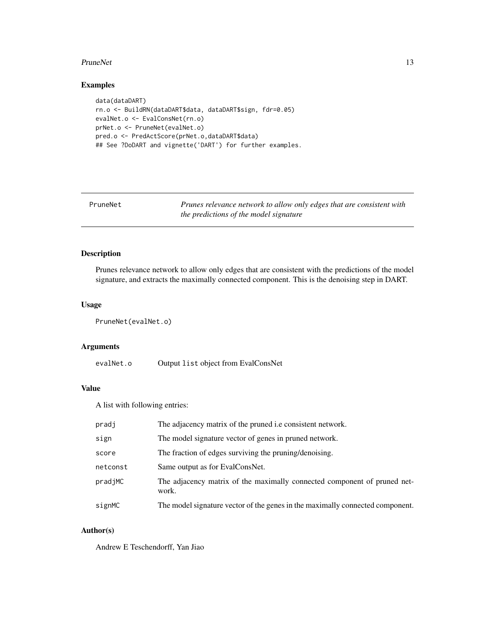#### <span id="page-12-0"></span>PruneNet 13

#### Examples

```
data(dataDART)
rn.o <- BuildRN(dataDART$data, dataDART$sign, fdr=0.05)
evalNet.o <- EvalConsNet(rn.o)
prNet.o <- PruneNet(evalNet.o)
pred.o <- PredActScore(prNet.o,dataDART$data)
## See ?DoDART and vignette('DART') for further examples.
```
PruneNet *Prunes relevance network to allow only edges that are consistent with the predictions of the model signature*

### Description

Prunes relevance network to allow only edges that are consistent with the predictions of the model signature, and extracts the maximally connected component. This is the denoising step in DART.

#### Usage

PruneNet(evalNet.o)

#### Arguments

evalNet.o Output list object from EvalConsNet

#### Value

A list with following entries:

| pradj    | The adjacency matrix of the pruned <i>i.e</i> consistent network.                 |
|----------|-----------------------------------------------------------------------------------|
| sign     | The model signature vector of genes in pruned network.                            |
| score    | The fraction of edges surviving the pruning/denoising.                            |
| netconst | Same output as for EvalConsNet.                                                   |
| pradjMC  | The adjacency matrix of the maximally connected component of pruned net-<br>work. |
| signMC   | The model signature vector of the genes in the maximally connected component.     |

#### Author(s)

Andrew E Teschendorff, Yan Jiao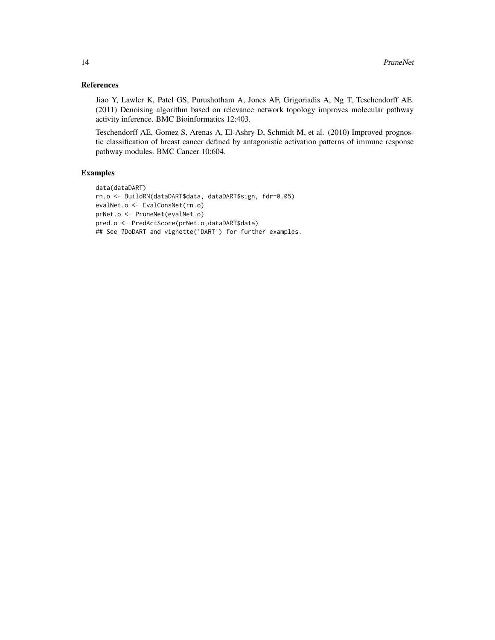#### References

Jiao Y, Lawler K, Patel GS, Purushotham A, Jones AF, Grigoriadis A, Ng T, Teschendorff AE. (2011) Denoising algorithm based on relevance network topology improves molecular pathway activity inference. BMC Bioinformatics 12:403.

Teschendorff AE, Gomez S, Arenas A, El-Ashry D, Schmidt M, et al. (2010) Improved prognostic classification of breast cancer defined by antagonistic activation patterns of immune response pathway modules. BMC Cancer 10:604.

#### Examples

```
data(dataDART)
rn.o <- BuildRN(dataDART$data, dataDART$sign, fdr=0.05)
evalNet.o <- EvalConsNet(rn.o)
prNet.o <- PruneNet(evalNet.o)
pred.o <- PredActScore(prNet.o,dataDART$data)
## See ?DoDART and vignette('DART') for further examples.
```